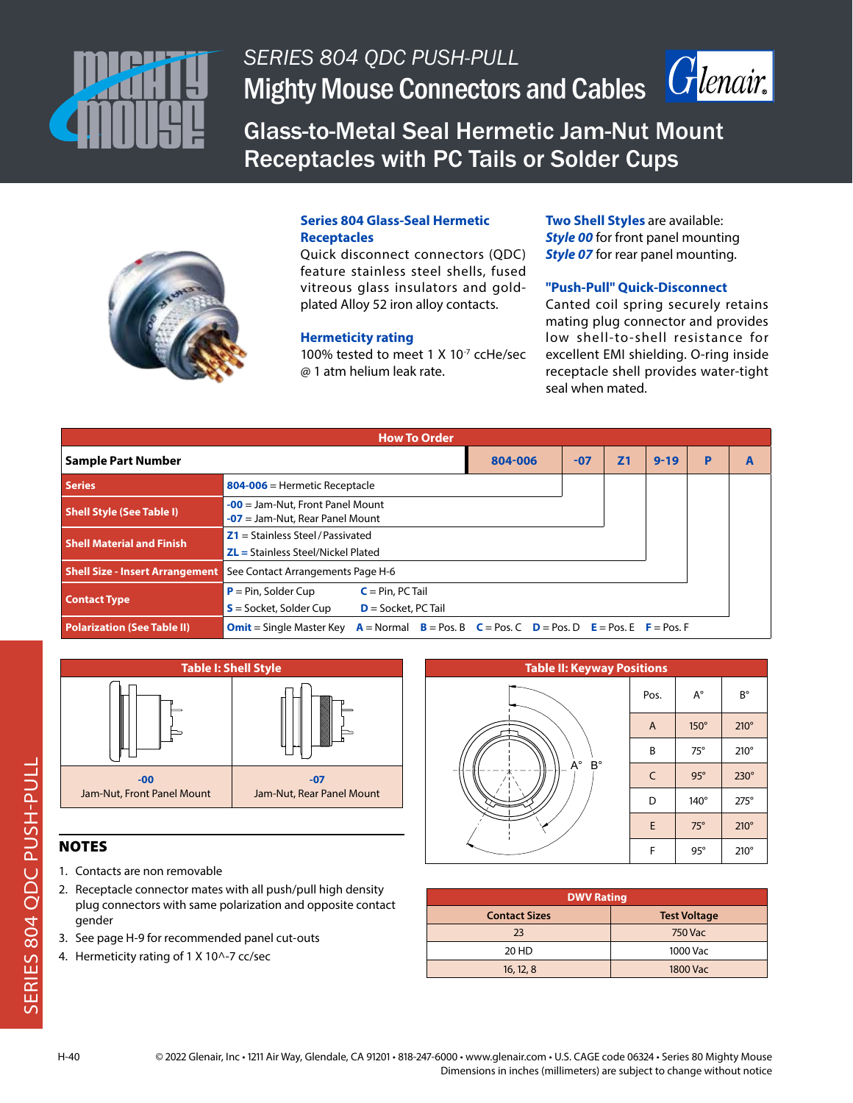

# *SERIES 804 QDC PUSH-PULL* Mighty Mouse Connectors and Cables | Crlenair



Glass-to-Metal Seal Hermetic Jam-Nut Mount Receptacles with PC Tails or Solder Cups



### **Series 804 Glass-Seal Hermetic Receptacles**

Quick disconnect connectors (QDC) feature stainless steel shells, fused vitreous glass insulators and goldplated Alloy 52 iron alloy contacts.

### **Hermeticity rating**

100% tested to meet 1 X 10<sup>-7</sup> ccHe/sec @ 1 atm helium leak rate.

**Two Shell Styles** are available: **Style 00** for front panel mounting **Style 07** for rear panel mounting.

### **"Push-Pull" Quick-Disconnect**

Canted coil spring securely retains mating plug connector and provides low shell-to-shell resistance for excellent EMI shielding. O-ring inside receptacle shell provides water-tight seal when mated.

| <b>How To Order</b>                    |                                                                                                                  |  |       |                |          |   |   |  |  |
|----------------------------------------|------------------------------------------------------------------------------------------------------------------|--|-------|----------------|----------|---|---|--|--|
| <b>Sample Part Number</b>              | 804-006                                                                                                          |  | $-07$ | Z <sub>1</sub> | $9 - 19$ | P | A |  |  |
| <b>Series</b>                          | 804-006 = Hermetic Receptacle                                                                                    |  |       |                |          |   |   |  |  |
| <b>Shell Style (See Table I)</b>       | $-00$ = Jam-Nut, Front Panel Mount<br>$-07$ = Jam-Nut, Rear Panel Mount                                          |  |       |                |          |   |   |  |  |
| <b>Shell Material and Finish</b>       | $Z1 =$ Stainless Steel / Passivated<br>$ZL$ = Stainless Steel/Nickel Plated                                      |  |       |                |          |   |   |  |  |
| <b>Shell Size - Insert Arrangement</b> | See Contact Arrangements Page H-6                                                                                |  |       |                |          |   |   |  |  |
| <b>Contact Type</b>                    | $P = Pin$ , Solder Cup<br>$C = Pin, PC Tail$<br>$S =$ Socket, Solder Cup<br>$D =$ Socket, PC Tail                |  |       |                |          |   |   |  |  |
| <b>Polarization (See Table II)</b>     | $A =$ Normal $B =$ Pos. B $C =$ Pos. C $D =$ Pos. D $E =$ Pos. E $F =$ Pos. F<br><b>Omit</b> = Single Master Key |  |       |                |          |   |   |  |  |



- 1. Contacts are non removable
- 2. Receptacle connector mates with all push/pull high density plug connectors with same polarization and opposite contact gender
- 3. See page H-9 for recommended panel cut-outs
- 4. Hermeticity rating of 1 X 10^-7 cc/sec



| <b>DWV Rating</b>    |                     |  |  |  |  |  |
|----------------------|---------------------|--|--|--|--|--|
| <b>Contact Sizes</b> | <b>Test Voltage</b> |  |  |  |  |  |
| 23                   | <b>750 Vac</b>      |  |  |  |  |  |
| 20 HD                | 1000 Vac            |  |  |  |  |  |
| 16, 12, 8            | <b>1800 Vac</b>     |  |  |  |  |  |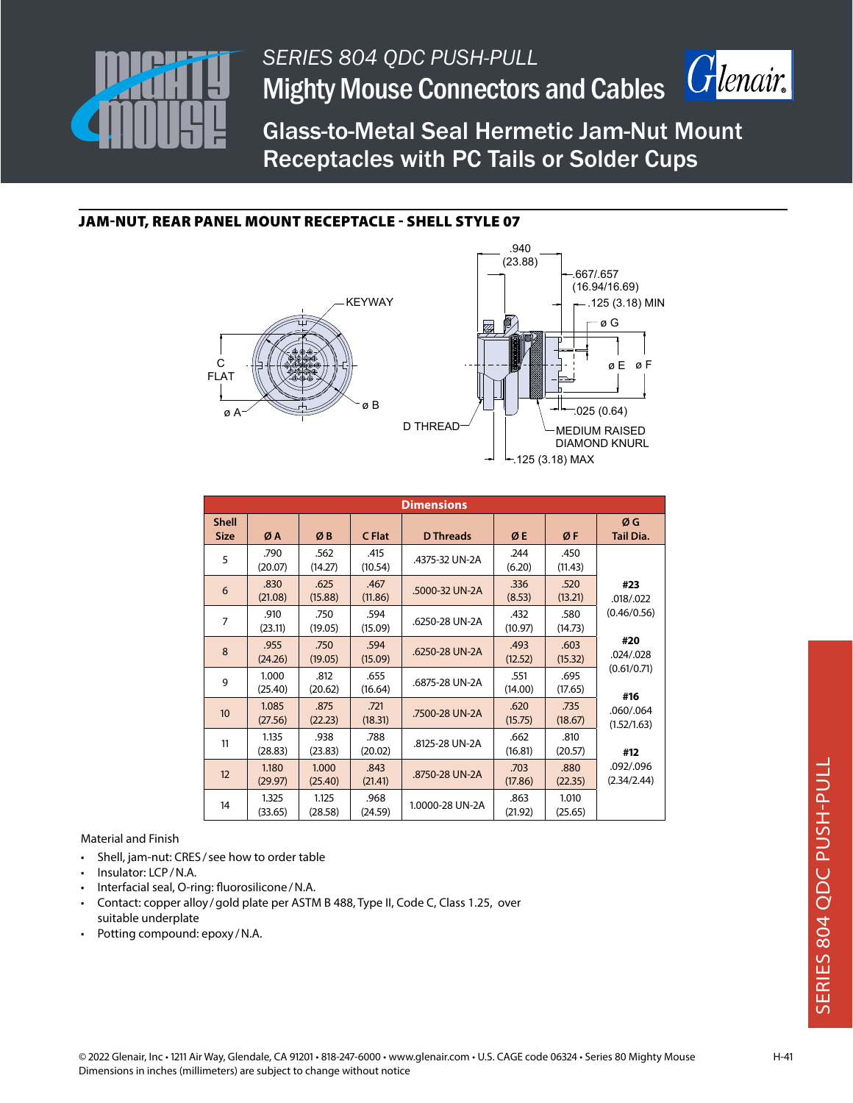

*SERIES 804 QDC PUSH-PULL* Mighty Mouse Connectors and Cables



Glass-to-Metal Seal Hermetic Jam-Nut Mount Receptacles with PC Tails or Solder Cups

### JAM-NUT, REAR PANEL MOUNT RECEPTACLE - SHELL STYLE 07



| <b>Dimensions</b>           |                  |                  |                 |                  |                 |                  |                          |  |  |
|-----------------------------|------------------|------------------|-----------------|------------------|-----------------|------------------|--------------------------|--|--|
| <b>Shell</b><br><b>Size</b> | ØA               | ØB               | C Flat          | <b>D</b> Threads | ØE              | ØF               | ØG<br>Tail Dia.          |  |  |
| 5                           | .790<br>(20.07)  | .562<br>(14.27)  | .415<br>(10.54) | .4375-32 UN-2A   | .244<br>(6.20)  | .450<br>(11.43)  |                          |  |  |
| 6                           | .830<br>(21.08)  | .625<br>(15.88)  | .467<br>(11.86) | .5000-32 UN-2A   | .336<br>(8.53)  | .520<br>(13.21)  | #23<br>.018/022          |  |  |
| $\overline{7}$              | .910<br>(23.11)  | .750<br>(19.05)  | .594<br>(15.09) | .6250-28 UN-2A   | .432<br>(10.97) | .580<br>(14.73)  | (0.46/0.56)              |  |  |
| 8                           | .955<br>(24.26)  | .750<br>(19.05)  | .594<br>(15.09) | .6250-28 UN-2A   | .493<br>(12.52) | .603<br>(15.32)  | #20<br>.024/.028         |  |  |
| 9                           | 1.000<br>(25.40) | .812<br>(20.62)  | .655<br>(16.64) | .6875-28 UN-2A   | .551<br>(14.00) | .695<br>(17.65)  | (0.61/0.71)<br>#16       |  |  |
| 10 <sup>10</sup>            | 1.085<br>(27.56) | .875<br>(22.23)  | .721<br>(18.31) | .7500-28 UN-2A   | .620<br>(15.75) | .735<br>(18.67)  | .060/.064<br>(1.52/1.63) |  |  |
| 11                          | 1.135<br>(28.83) | .938<br>(23.83)  | .788<br>(20.02) | .8125-28 UN-2A   | .662<br>(16.81) | .810<br>(20.57)  | #12                      |  |  |
| 12                          | 1.180<br>(29.97) | 1.000<br>(25.40) | .843<br>(21.41) | .8750-28 UN-2A   | .703<br>(17.86) | .880<br>(22.35)  | .092/.096<br>(2.34/2.44) |  |  |
| 14                          | 1.325<br>(33.65) | 1.125<br>(28.58) | .968<br>(24.59) | 1.0000-28 UN-2A  | .863<br>(21.92) | 1.010<br>(25.65) |                          |  |  |

Material and Finish

- Shell, jam-nut: CRES / see how to order table
- Insulator: LCP/N.A.
- Interfacial seal, O-ring: fluorosilicone/N.A.
- Contact: copper alloy /gold plate per ASTM B 488, Type II, Code C, Class 1.25, over suitable underplate
- Potting compound: epoxy /N.A.